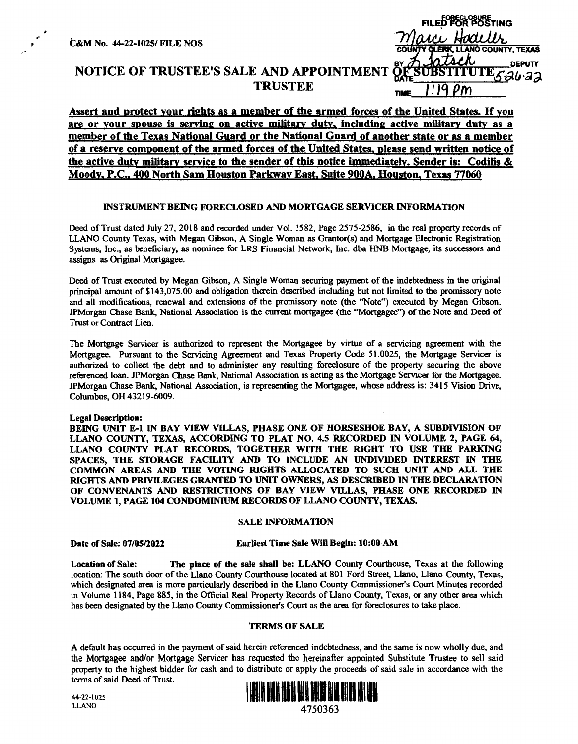|                                                                                 | <b>FILED FOR POSTING</b>                         |
|---------------------------------------------------------------------------------|--------------------------------------------------|
| &M No. 44-22-1025/ FILE NOS                                                     | uci Hodillr<br>COUNTY CLERK, LLANO COUNTY, TEXAS |
| NOTICE OF TRUSTEE'S SALE AND APPOINTMENT OF SUBSTITUTE GALAZE<br><b>TRUSTEE</b> | <b>TIME</b>                                      |

# Assert and protect your rights as a member of the armed forces of the United States. If you are or your spouse is serving on active military duty, including active military duty as a member of the Texas National Guard or the National Guard of another state or as a member of a reserve component of the armed forces of the United States, please send written notice of the active duty military service to the sender of this notice immediately. Sender is: Codilis & Moody, P.C, 400 North Sam Houston Parkway East, Suite 900A, Houston, Texas 77060

# **INSTRUMENT BEING FORECLOSED AND MORTGAGE SERVICER INFORMATION**

Deed of Trust dated July 27, 2018 and recorded under Vol. 1582, Page 2575-2586, in the real property records of LLANO County Texas, with Megan Gibson, A Single Woman as Grantor(s) and Mortgage Electronic Registration Systems, Inc., as beneficiary, as nominee for LRS Financial Network, Inc. dba HNB Mortgage, its successors and assigns as Original Mortgagee.

Deed of Trust executed by Megan Gibson, A Single Woman securing payment of the indebtedness in the original principal amount of \$143,075.00 and obligation therein described including but not limited to the promissory note and all modifications, renewal and extensions of the promissory note (the ''Note") executed by Megan Gibson. JPMorgan Chase Bank, National Association is the current mortgagee (the "Mortgagee") of the Note and Deed of Trust or Contract Lien.

The Mortgage Servicer is authorized to represent the Mortgagee by virtue of a servicing agreement with the Mortgagee. Pursuant to the Servicing Agreement and Texas Property Code 51.0025, the Mortgage Servicer is authorized to collect the debt and to administer any resulting foreclosure of the property securing the above referenced loan. JPMorgan Chase Bank, National Association is acting as the Mortgage Servicer for the Mortgagee. JPMorgan Chase Bank, National Association, is representing the Mortgagee, whose address is: 3415 Vision Drive, Columbus, OH 43219-6009.

## **Legal Description:**

**BEING UNIT E-1** IN **BAY VIEW VILLAS, PHASE ONE OF HORSESHOE BAY, A SUBDIVISION OF LLANO COUNTY, TEXAS, ACCORDING TO PLAT NO. 4.5 RECORDED** IN **VOLUME 2, PAGE 64, LLANO COUNTY PLAT RECORDS, TOGETHER WITH THE RIGHT TO USE THE PARKING SPACES, THE STORAGE FACILITY AND TO INCLUDE AN UNDIVIDED INTEREST** IN **THE COMMON AREAS AND THE VOTING RIGHTS ALLOCATED TO SUCH UNIT AND ALL THE RIGHTS AND PRWILEGES GRANTED TO UNIT OWNERS, AS DESCRIBED** IN **THE DECLARATION**  OF CONVENANTS AND RESTRICTIONS OF BAY VIEW VILLAS, PHASE ONE RECORDED IN **VOLUME 1, PAGE 104 CONDOMINIUM RECORDS OF LLANO COUNTY, TEXAS.** 

# **SALE INFORMATION**

## **Date of Sale: 07/05/2022 Earliest Time Sale Will Begin: 10:00 AM**

**Location of Sale: The place of the sale shall be: LLANO** County Courthouse, Texas at the following location: The south door of the Llano County Courthouse located at 801 Ford Street, Llano, Llano County, Texas, which designated area is more particularly described in the Llano County Commissioner's Court Minutes recorded in Volume 1184, Page 885, in the Official Real Property Records of Llano County, Texas, or any other area which has been designated by the Llano County Commissioner's Court as the area for foreclosures to take place.

## **TERMS OF SALE**

A default has occurred in the payment of said herein referenced indebtedness, and the same is now wholly due, and the Mortgagee and/or Mortgage Servicer has requested the hereinafter appointed Substitute Trustee to sell said property to the highest bidder for cash and to distribute or apply the proceeds of said sale in accordance with the tenns of said Deed of Trust.



4750363